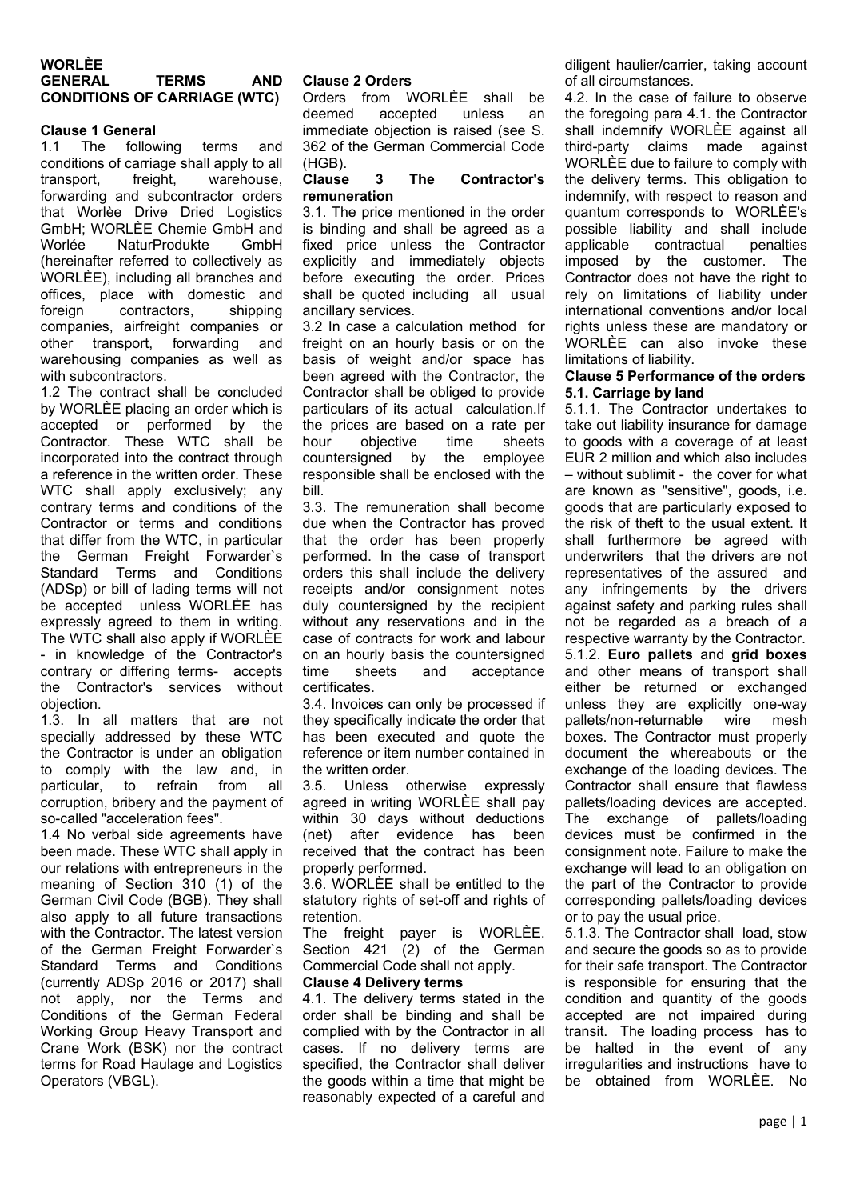## **WORLÈE GENERAL TERMS AND CONDITIONS OF CARRIAGE (WTC)**

## **Clause 1 General**

1.1 The following terms and conditions of carriage shall apply to all transport, freight, warehouse, forwarding and subcontractor orders that Worlèe Drive Dried Logistics GmbH; WORLÈE Chemie GmbH and Worlée NaturProdukte GmbH (hereinafter referred to collectively as WORLÈE), including all branches and offices, place with domestic and foreign contractors, shipping companies, airfreight companies or other transport, forwarding and warehousing companies as well as with subcontractors.

1.2 The contract shall be concluded by WORLÈE placing an order which is accepted or performed by the Contractor. These WTC shall be incorporated into the contract through a reference in the written order. These WTC shall apply exclusively; any contrary terms and conditions of the Contractor or terms and conditions that differ from the WTC, in particular the German Freight Forwarder`s Standard Terms and Conditions (ADSp) or bill of lading terms will not be accepted unless WORLÈE has expressly agreed to them in writing. The WTC shall also apply if WORLÈE - in knowledge of the Contractor's contrary or differing terms- accepts the Contractor's services without objection.

1.3. In all matters that are not specially addressed by these WTC the Contractor is under an obligation to comply with the law and, in particular, to refrain from all corruption, bribery and the payment of so-called "acceleration fees".

1.4 No verbal side agreements have been made. These WTC shall apply in our relations with entrepreneurs in the meaning of Section 310 (1) of the German Civil Code (BGB). They shall also apply to all future transactions with the Contractor. The latest version of the German Freight Forwarder's Standard Terms and Conditions (currently ADSp 2016 or 2017) shall not apply, nor the Terms and Conditions of the German Federal Working Group Heavy Transport and Crane Work (BSK) nor the contract terms for Road Haulage and Logistics Operators (VBGL).

### **Clause 2 Orders**

Orders from WORLÈE shall be deemed accepted unless an immediate objection is raised (see S. 362 of the German Commercial Code

### (HGB). **Clause 3 The Contractor's remuneration**

3.1. The price mentioned in the order is binding and shall be agreed as a fixed price unless the Contractor explicitly and immediately objects before executing the order. Prices shall be quoted including all usual ancillary services.

3.2 In case a calculation method for freight on an hourly basis or on the basis of weight and/or space has been agreed with the Contractor, the Contractor shall be obliged to provide particulars of its actual calculation.If the prices are based on a rate per hour objective time sheets countersigned by the employee responsible shall be enclosed with the bill.

3.3. The remuneration shall become due when the Contractor has proved that the order has been properly performed. In the case of transport orders this shall include the delivery receipts and/or consignment notes duly countersigned by the recipient without any reservations and in the case of contracts for work and labour on an hourly basis the countersigned time sheets and acceptance certificates.

3.4. Invoices can only be processed if they specifically indicate the order that has been executed and quote the reference or item number contained in the written order

3.5. Unless otherwise expressly agreed in writing WORLÈE shall pay within 30 days without deductions (net) after evidence has been received that the contract has been properly performed.

3.6. WORLÈE shall be entitled to the statutory rights of set-off and rights of retention.

The freight payer is WORLÈE. Section 421 (2) of the German Commercial Code shall not apply.

# **Clause 4 Delivery terms**

4.1. The delivery terms stated in the order shall be binding and shall be complied with by the Contractor in all cases. If no delivery terms are specified, the Contractor shall deliver the goods within a time that might be reasonably expected of a careful and diligent haulier/carrier, taking account of all circumstances.

4.2. In the case of failure to observe the foregoing para 4.1. the Contractor shall indemnify WORLÈE against all third-party claims made against WORLÈE due to failure to comply with the delivery terms. This obligation to indemnify, with respect to reason and quantum corresponds to WORLÈE's possible liability and shall include applicable contractual penalties imposed by the customer. The Contractor does not have the right to rely on limitations of liability under international conventions and/or local rights unless these are mandatory or WORLÈE can also invoke these limitations of liability.

#### **Clause 5 Performance of the orders 5.1. Carriage by land**

5.1.1. The Contractor undertakes to take out liability insurance for damage to goods with a coverage of at least EUR 2 million and which also includes – without sublimit - the cover for what are known as "sensitive", goods, i.e. goods that are particularly exposed to the risk of theft to the usual extent. It shall furthermore be agreed with underwriters that the drivers are not representatives of the assured and any infringements by the drivers against safety and parking rules shall not be regarded as a breach of a respective warranty by the Contractor. 5.1.2. **Euro pallets** and **grid boxes** and other means of transport shall either be returned or exchanged unless they are explicitly one-way pallets/non-returnable wire mesh boxes. The Contractor must properly document the whereabouts or the exchange of the loading devices. The Contractor shall ensure that flawless pallets/loading devices are accepted. The exchange of pallets/loading devices must be confirmed in the consignment note. Failure to make the exchange will lead to an obligation on the part of the Contractor to provide corresponding pallets/loading devices or to pay the usual price.

5.1.3. The Contractor shall load, stow and secure the goods so as to provide for their safe transport. The Contractor is responsible for ensuring that the condition and quantity of the goods accepted are not impaired during transit. The loading process has to be halted in the event of any irregularities and instructions have to be obtained from WORLÈE. No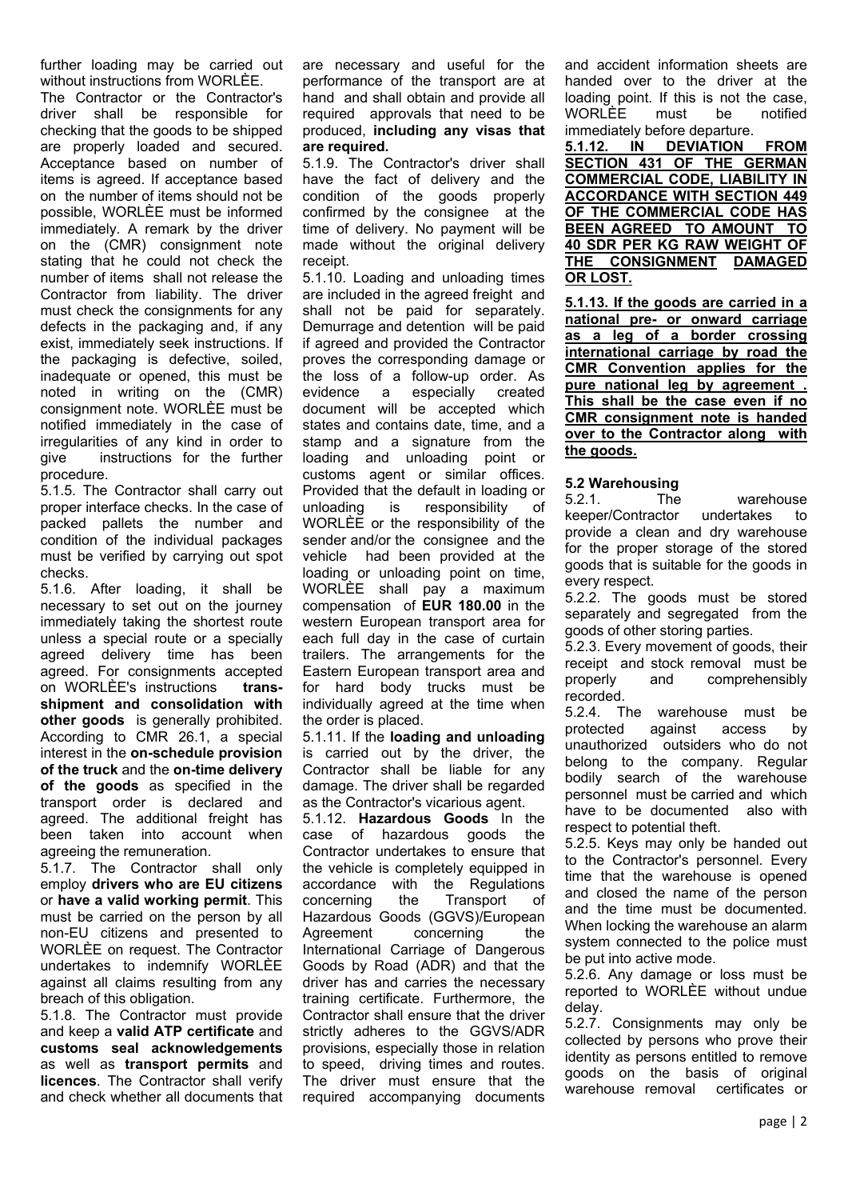further loading may be carried out without instructions from WORLÈE.

The Contractor or the Contractor's driver shall be responsible for checking that the goods to be shipped are properly loaded and secured. Acceptance based on number of items is agreed. If acceptance based on the number of items should not be possible, WORLÈE must be informed immediately. A remark by the driver on the (CMR) consignment note stating that he could not check the number of items shall not release the Contractor from liability. The driver must check the consignments for any defects in the packaging and, if any exist, immediately seek instructions. If the packaging is defective, soiled, inadequate or opened, this must be noted in writing on the (CMR) consignment note. WORLÈE must be notified immediately in the case of irregularities of any kind in order to<br>give instructions for the further instructions for the further procedure.

5.1.5. The Contractor shall carry out proper interface checks. In the case of packed pallets the number and condition of the individual packages must be verified by carrying out spot checks.

5.1.6. After loading, it shall be necessary to set out on the journey immediately taking the shortest route unless a special route or a specially agreed delivery time has been agreed. For consignments accepted on WORLÈE's instructions **transshipment and consolidation with other goods** is generally prohibited. According to CMR 26.1, a special interest in the **on-schedule provision of the truck** and the **on-time delivery of the goods** as specified in the transport order is declared and agreed. The additional freight has been taken into account when agreeing the remuneration.

5.1.7. The Contractor shall only employ **drivers who are EU citizens** or **have a valid working permit**. This must be carried on the person by all non-EU citizens and presented to WORLÈE on request. The Contractor undertakes to indemnify WORLÈE against all claims resulting from any breach of this obligation.

5.1.8. The Contractor must provide and keep a **valid ATP certificate** and **customs seal acknowledgements**  as well as **transport permits** and **licences**. The Contractor shall verify and check whether all documents that are necessary and useful for the performance of the transport are at hand and shall obtain and provide all required approvals that need to be produced, **including any visas that are required.** 

5.1.9. The Contractor's driver shall have the fact of delivery and the condition of the goods properly confirmed by the consignee at the time of delivery. No payment will be made without the original delivery receipt.

5.1.10. Loading and unloading times are included in the agreed freight and shall not be paid for separately. Demurrage and detention will be paid if agreed and provided the Contractor proves the corresponding damage or the loss of a follow-up order. As evidence a especially created document will be accepted which states and contains date, time, and a stamp and a signature from the loading and unloading point or customs agent or similar offices. Provided that the default in loading or unloading is responsibility of WORLÈE or the responsibility of the sender and/or the consignee and the vehicle had been provided at the loading or unloading point on time, WORLÈE shall pay a maximum compensation of **EUR 180.00** in the western European transport area for each full day in the case of curtain trailers. The arrangements for the Eastern European transport area and for hard body trucks must be individually agreed at the time when the order is placed.

5.1.11. If the **loading and unloading**  is carried out by the driver, the Contractor shall be liable for any damage. The driver shall be regarded as the Contractor's vicarious agent.

5.1.12. **Hazardous Goods** In the case of hazardous goods the Contractor undertakes to ensure that the vehicle is completely equipped in accordance with the Regulations<br>concerning the Transport of concerning the Transport of Hazardous Goods (GGVS)/European Agreement concerning the International Carriage of Dangerous Goods by Road (ADR) and that the driver has and carries the necessary training certificate. Furthermore, the Contractor shall ensure that the driver strictly adheres to the GGVS/ADR provisions, especially those in relation to speed, driving times and routes. The driver must ensure that the required accompanying documents

and accident information sheets are handed over to the driver at the loading point. If this is not the case, WORLÈE must be notified immediately before departure.

**5.1.12. IN DEVIATION FROM SECTION 431 OF THE GERMAN COMMERCIAL CODE, LIABILITY IN ACCORDANCE WITH SECTION 449 OF THE COMMERCIAL CODE HAS BEEN AGREED TO AMOUNT TO 40 SDR PER KG RAW WEIGHT OF THE CONSIGNMENT DAMAGED OR LOST.**

**5.1.13. If the goods are carried in a national pre- or onward carriage as a leg of a border crossing international carriage by road the CMR Convention applies for the pure national leg by agreement . This shall be the case even if no CMR consignment note is handed over to the Contractor along with the goods.** 

## **5.2 Warehousing**

5.2.1. The warehouse keeper/Contractor undertakes to provide a clean and dry warehouse for the proper storage of the stored goods that is suitable for the goods in every respect.

5.2.2. The goods must be stored separately and segregated from the goods of other storing parties.

5.2.3. Every movement of goods, their receipt and stock removal must be properly and comprehensibly recorded.

5.2.4. The warehouse must be protected against access by against access by unauthorized outsiders who do not belong to the company. Regular bodily search of the warehouse personnel must be carried and which have to be documented also with respect to potential theft.

5.2.5. Keys may only be handed out to the Contractor's personnel. Every time that the warehouse is opened and closed the name of the person and the time must be documented. When locking the warehouse an alarm system connected to the police must be put into active mode.

5.2.6. Any damage or loss must be reported to WORLÈE without undue delay.

5.2.7. Consignments may only be collected by persons who prove their identity as persons entitled to remove goods on the basis of original warehouse removal certificates or